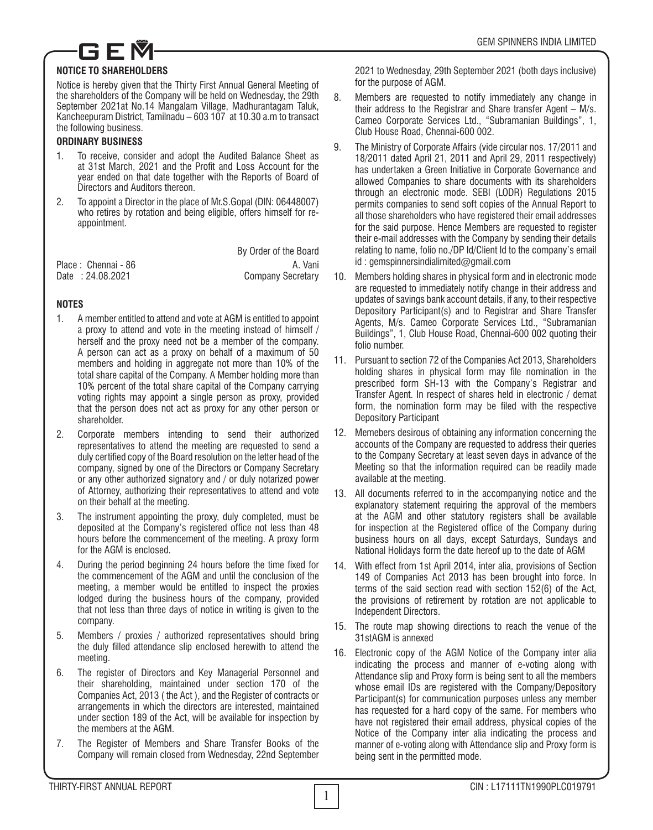

## **NOTICE TO SHAREHOLDERS**

Notice is hereby given that the Thirty First Annual General Meeting of the shareholders of the Company will be held on Wednesday, the 29th September 2021at No.14 Mangalam Village, Madhurantagam Taluk, Kancheepuram District, Tamilnadu – 603 107 at 10.30 a.m to transact the following business.

## **ORDINARY BUSINESS**

- 1. To receive, consider and adopt the Audited Balance Sheet as at 31st March, 2021 and the Profit and Loss Account for the year ended on that date together with the Reports of Board of Directors and Auditors thereon.
- 2. To appoint a Director in the place of Mr.S.Gopal (DIN: 06448007) who retires by rotation and being eligible, offers himself for reappointment.

|                                         | By Order of the Board    |
|-----------------------------------------|--------------------------|
| Place: Chennai - 86<br>Date: 24.08.2021 | A. Vani                  |
|                                         | <b>Company Secretary</b> |

# **NOTES**

- 1. A member entitled to attend and vote at AGM is entitled to appoint a proxy to attend and vote in the meeting instead of himself / herself and the proxy need not be a member of the company. A person can act as a proxy on behalf of a maximum of 50 members and holding in aggregate not more than 10% of the total share capital of the Company. A Member holding more than 10% percent of the total share capital of the Company carrying voting rights may appoint a single person as proxy, provided that the person does not act as proxy for any other person or shareholder.
- 2. Corporate members intending to send their authorized representatives to attend the meeting are requested to send a duly certified copy of the Board resolution on the letter head of the company, signed by one of the Directors or Company Secretary or any other authorized signatory and / or duly notarized power of Attorney, authorizing their representatives to attend and vote on their behalf at the meeting.
- 3. The instrument appointing the proxy, duly completed, must be deposited at the Company's registered office not less than 48 hours before the commencement of the meeting. A proxy form for the AGM is enclosed.
- 4. During the period beginning 24 hours before the time fixed for the commencement of the AGM and until the conclusion of the meeting, a member would be entitled to inspect the proxies lodged during the business hours of the company, provided that not less than three days of notice in writing is given to the company.
- 5. Members / proxies / authorized representatives should bring the duly filled attendance slip enclosed herewith to attend the meeting.
- 6. The register of Directors and Key Managerial Personnel and their shareholding, maintained under section 170 of the Companies Act, 2013 ( the Act ), and the Register of contracts or arrangements in which the directors are interested, maintained under section 189 of the Act, will be available for inspection by the members at the AGM.
- 7. The Register of Members and Share Transfer Books of the Company will remain closed from Wednesday, 22nd September

2021 to Wednesday, 29th September 2021 (both days inclusive) for the purpose of AGM.

- 8. Members are requested to notify immediately any change in their address to the Registrar and Share transfer Agent – M/s. Cameo Corporate Services Ltd., "Subramanian Buildings", 1, Club House Road, Chennai-600 002.
- 9. The Ministry of Corporate Affairs (vide circular nos. 17/2011 and 18/2011 dated April 21, 2011 and April 29, 2011 respectively) has undertaken a Green Initiative in Corporate Governance and allowed Companies to share documents with its shareholders through an electronic mode. SEBI (LODR) Regulations 2015 permits companies to send soft copies of the Annual Report to all those shareholders who have registered their email addresses for the said purpose. Hence Members are requested to register their e-mail addresses with the Company by sending their details relating to name, folio no./DP Id/Client Id to the company's email id : gemspinnersindialimited@gmail.com
- 10. Members holding shares in physical form and in electronic mode are requested to immediately notify change in their address and updates of savings bank account details, if any, to their respective Depository Participant(s) and to Registrar and Share Transfer Agents, M/s. Cameo Corporate Services Ltd., "Subramanian Buildings", 1, Club House Road, Chennai-600 002 quoting their folio number.
- 11. Pursuant to section 72 of the Companies Act 2013, Shareholders holding shares in physical form may file nomination in the prescribed form SH-13 with the Company's Registrar and Transfer Agent. In respect of shares held in electronic / demat form, the nomination form may be filed with the respective Depository Participant
- 12. Memebers desirous of obtaining any information concerning the accounts of the Company are requested to address their queries to the Company Secretary at least seven days in advance of the Meeting so that the information required can be readily made available at the meeting.
- 13. All documents referred to in the accompanying notice and the explanatory statement requiring the approval of the members at the AGM and other statutory registers shall be available for inspection at the Registered office of the Company during business hours on all days, except Saturdays, Sundays and National Holidays form the date hereof up to the date of AGM
- 14. With effect from 1st April 2014, inter alia, provisions of Section 149 of Companies Act 2013 has been brought into force. In terms of the said section read with section 152(6) of the Act, the provisions of retirement by rotation are not applicable to Independent Directors.
- 15. The route map showing directions to reach the venue of the 31stAGM is annexed
- 16. Electronic copy of the AGM Notice of the Company inter alia indicating the process and manner of e-voting along with Attendance slip and Proxy form is being sent to all the members whose email IDs are registered with the Company/Depository Participant(s) for communication purposes unless any member has requested for a hard copy of the same. For members who have not registered their email address, physical copies of the Notice of the Company inter alia indicating the process and manner of e-voting along with Attendance slip and Proxy form is being sent in the permitted mode.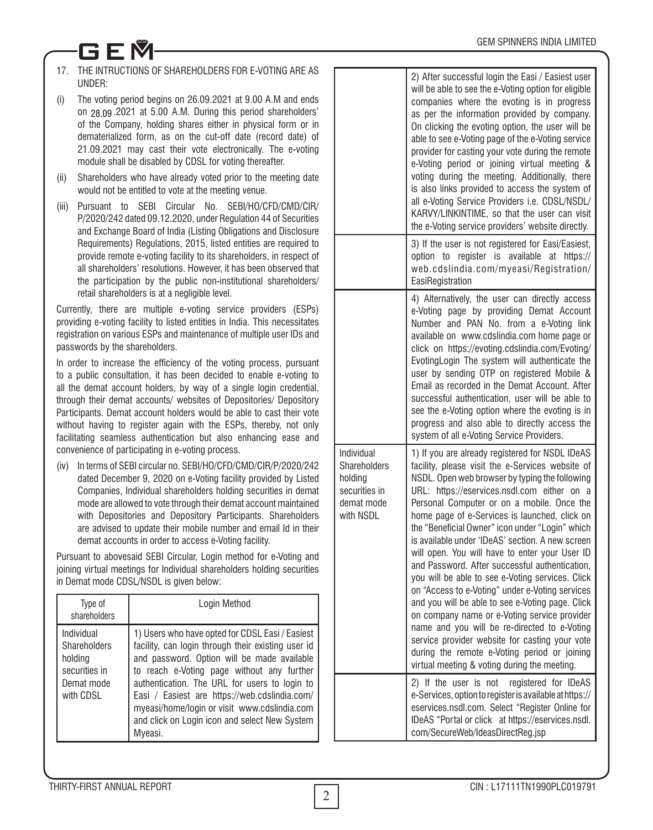# 17. THE INTRUCTIONS OF SHAREHOLDERS FOR E-VOTING ARE AS UNDER:

GEM

- (i) The voting period begins on 26.09.2021 at 9.00 A.M and ends on 29.06.2021 at 5.00 A.M. During this period shareholders' 28.09of the Company, holding shares either in physical form or in dematerialized form, as on the cut-off date (record date) of 21.09.2021 may cast their vote electronically. The e-voting module shall be disabled by CDSL for voting thereafter.
- (ii) Shareholders who have already voted prior to the meeting date would not be entitled to vote at the meeting venue.
- (iii) Pursuant to SEBI Circular No. SEBI/HO/CFD/CMD/CIR/ P/2020/242 dated 09.12.2020, under Regulation 44 of Securities and Exchange Board of India (Listing Obligations and Disclosure Requirements) Regulations, 2015, listed entities are required to provide remote e-voting facility to its shareholders, in respect of all shareholders' resolutions. However, it has been observed that the participation by the public non-institutional shareholders/ retail shareholders is at a negligible level.

Currently, there are multiple e-voting service providers (ESPs) providing e-voting facility to listed entities in India. This necessitates registration on various ESPs and maintenance of multiple user IDs and passwords by the shareholders.

In order to increase the efficiency of the voting process, pursuant to a public consultation, it has been decided to enable e-voting to all the demat account holders, by way of a single login credential, through their demat accounts/ websites of Depositories/ Depository Participants. Demat account holders would be able to cast their vote without having to register again with the ESPs, thereby, not only facilitating seamless authentication but also enhancing ease and convenience of participating in e-voting process.

(iv) In terms of SEBI circular no. SEBI/HO/CFD/CMD/CIR/P/2020/242 dated December 9, 2020 on e-Voting facility provided by Listed Companies, Individual shareholders holding securities in demat mode are allowed to vote through their demat account maintained with Depositories and Depository Participants. Shareholders are advised to update their mobile number and email Id in their demat accounts in order to access e-Voting facility.

Pursuant to abovesaid SEBI Circular, Login method for e-Voting and joining virtual meetings for Individual shareholders holding securities in Demat mode CDSL/NSDL is given below:

| Type of<br>shareholders                                                           | Login Method                                                                                                                                                                                                                                                                                                                                                                                                     |
|-----------------------------------------------------------------------------------|------------------------------------------------------------------------------------------------------------------------------------------------------------------------------------------------------------------------------------------------------------------------------------------------------------------------------------------------------------------------------------------------------------------|
| Individual<br>Shareholders<br>holding<br>securities in<br>Demat mode<br>with CDSL | 1) Users who have opted for CDSL Easi / Easiest<br>facility, can login through their existing user id<br>and password. Option will be made available<br>to reach e-Voting page without any further<br>authentication. The URL for users to login to<br>Easi / Easiest are https://web.cdslindia.com/<br>myeasi/home/login or visit www.cdslindia.com<br>and click on Login icon and select New System<br>Mveasi. |

|                                                                                          | 2) After successful login the Easi / Easiest user<br>will be able to see the e-Voting option for eligible<br>companies where the evoting is in progress<br>as per the information provided by company.<br>On clicking the evoting option, the user will be<br>able to see e-Voting page of the e-Voting service<br>provider for casting your vote during the remote<br>e-Voting period or joining virtual meeting &<br>voting during the meeting. Additionally, there<br>is also links provided to access the system of<br>all e-Voting Service Providers i.e. CDSL/NSDL/<br>KARVY/LINKINTIME, so that the user can visit<br>the e-Voting service providers' website directly.                                                                                                                                                                                                                                              |
|------------------------------------------------------------------------------------------|-----------------------------------------------------------------------------------------------------------------------------------------------------------------------------------------------------------------------------------------------------------------------------------------------------------------------------------------------------------------------------------------------------------------------------------------------------------------------------------------------------------------------------------------------------------------------------------------------------------------------------------------------------------------------------------------------------------------------------------------------------------------------------------------------------------------------------------------------------------------------------------------------------------------------------|
|                                                                                          | 3) If the user is not registered for Easi/Easiest,<br>option to register is available at https://<br>web.cdslindia.com/myeasi/Registration/<br>EasiRegistration                                                                                                                                                                                                                                                                                                                                                                                                                                                                                                                                                                                                                                                                                                                                                             |
|                                                                                          | 4) Alternatively, the user can directly access<br>e-Voting page by providing Demat Account<br>Number and PAN No. from a e-Voting link<br>available on www.cdslindia.com home page or<br>click on https://evoting.cdslindia.com/Evoting/<br>EvotingLogin The system will authenticate the<br>user by sending OTP on registered Mobile &<br>Email as recorded in the Demat Account. After<br>successful authentication, user will be able to<br>see the e-Voting option where the evoting is in<br>progress and also able to directly access the<br>system of all e-Voting Service Providers.                                                                                                                                                                                                                                                                                                                                 |
| Individual<br><b>Shareholders</b><br>holding<br>securities in<br>demat mode<br>with NSDL | 1) If you are already registered for NSDL IDeAS<br>facility, please visit the e-Services website of<br>NSDL. Open web browser by typing the following<br>URL: https://eservices.nsdl.com either on a<br>Personal Computer or on a mobile. Once the<br>home page of e-Services is launched, click on<br>the "Beneficial Owner" icon under "Login" which<br>is available under 'IDeAS' section. A new screen<br>will open. You will have to enter your User ID<br>and Password. After successful authentication,<br>you will be able to see e-Voting services. Click<br>on "Access to e-Voting" under e-Voting services<br>and you will be able to see e-Voting page. Click<br>on company name or e-Voting service provider<br>name and you will be re-directed to e-Voting<br>service provider website for casting your vote<br>during the remote e-Voting period or joining<br>virtual meeting & voting during the meeting. |
|                                                                                          | 2) If the user is not<br>registered for IDeAS<br>e-Services, option to register is available at https://<br>eservices.nsdl.com. Select "Register Online for<br>IDeAS "Portal or click at https://eservices.nsdl.<br>com/SecureWeb/IdeasDirectReg.jsp                                                                                                                                                                                                                                                                                                                                                                                                                                                                                                                                                                                                                                                                        |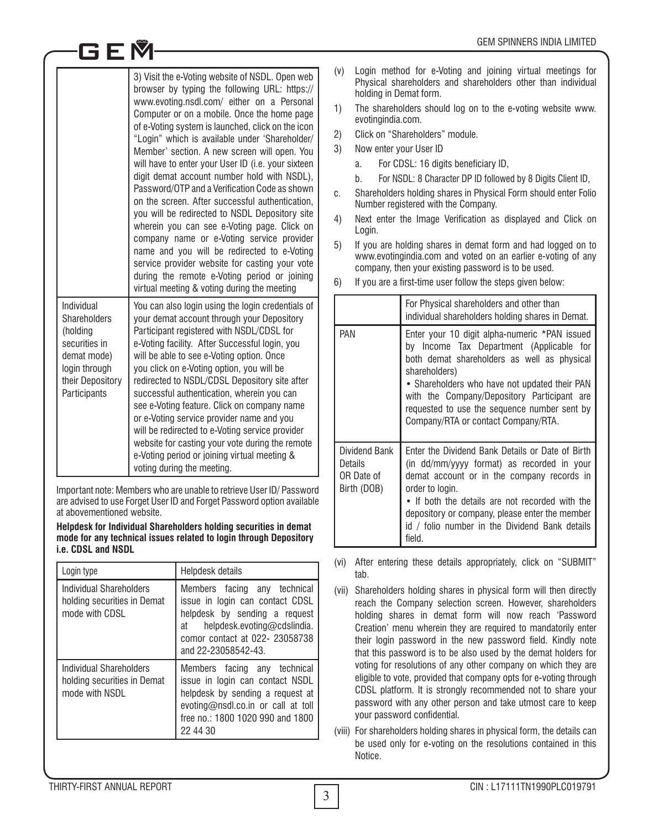|                                                                                                                                    | 3) Visit the e-Voting website of NSDL. Open web<br>browser by typing the following URL: https://<br>www.evoting.nsdl.com/ either on a Personal<br>Computer or on a mobile. Once the home page<br>of e-Voting system is launched, click on the icon<br>"Login" which is available under 'Shareholder/<br>Member' section. A new screen will open. You<br>will have to enter your User ID (i.e. your sixteen<br>digit demat account number hold with NSDL),<br>Password/OTP and a Verification Code as shown<br>on the screen. After successful authentication.<br>you will be redirected to NSDL Depository site<br>wherein you can see e-Voting page. Click on<br>company name or e-Voting service provider<br>name and you will be redirected to e-Voting<br>service provider website for casting your vote<br>during the remote e-Voting period or joining<br>virtual meeting & voting during the meeting |
|------------------------------------------------------------------------------------------------------------------------------------|-------------------------------------------------------------------------------------------------------------------------------------------------------------------------------------------------------------------------------------------------------------------------------------------------------------------------------------------------------------------------------------------------------------------------------------------------------------------------------------------------------------------------------------------------------------------------------------------------------------------------------------------------------------------------------------------------------------------------------------------------------------------------------------------------------------------------------------------------------------------------------------------------------------|
| Individual<br><b>Shareholders</b><br>(holding<br>securities in<br>demat mode)<br>login through<br>their Depository<br>Participants | You can also login using the login credentials of<br>your demat account through your Depository<br>Participant registered with NSDL/CDSL for<br>e-Voting facility. After Successful login, you<br>will be able to see e-Voting option. Once<br>you click on e-Voting option, you will be<br>redirected to NSDL/CDSL Depository site after<br>successful authentication, wherein you can<br>see e-Voting feature. Click on company name<br>or e-Voting service provider name and you<br>will be redirected to e-Voting service provider<br>website for casting your vote during the remote<br>e-Voting period or joining virtual meeting &<br>voting during the meeting.                                                                                                                                                                                                                                     |

GEM

Important note: Members who are unable to retrieve User ID/ Password are advised to use Forget User ID and Forget Password option available at abovementioned website.

#### **Helpdesk for Individual Shareholders holding securities in demat mode for any technical issues related to login through Depository i.e. CDSL and NSDL**

| Login type                                                               | Helpdesk details                                                                                                                                                                               |
|--------------------------------------------------------------------------|------------------------------------------------------------------------------------------------------------------------------------------------------------------------------------------------|
| Individual Shareholders<br>holding securities in Demat<br>mode with CDSL | Members facing any technical<br>issue in login can contact CDSL<br>helpdesk by sending a request<br>helpdesk.evoting@cdslindia.<br>at<br>comor contact at 022- 23058738<br>and 22-23058542-43. |
| Individual Shareholders<br>holding securities in Demat<br>mode with NSDI | Members facing any technical<br>issue in login can contact NSDL<br>helpdesk by sending a request at<br>evoting@nsdl.co.in or call at toll<br>free no.: 1800 1020 990 and 1800<br>22 44 30      |

- (v) Login method for e-Voting and joining virtual meetings for Physical shareholders and shareholders other than individual holding in Demat form.
- 1) The shareholders should log on to the e-voting website www. evotingindia.com.
- 2) Click on "Shareholders" module.
- 3) Now enter your User ID
	- a. For CDSL: 16 digits beneficiary ID,
	- b. For NSDL: 8 Character DP ID followed by 8 Digits Client ID,
- c. Shareholders holding shares in Physical Form should enter Folio Number registered with the Company.
- 4) Next enter the Image Verification as displayed and Click on Login.
- 5) If you are holding shares in demat form and had logged on to www.evotingindia.com and voted on an earlier e-voting of any company, then your existing password is to be used.
- 6) If you are a first-time user follow the steps given below:

|                                                       | For Physical shareholders and other than<br>individual shareholders holding shares in Demat.                                                                                                                                                                                                                                                     |
|-------------------------------------------------------|--------------------------------------------------------------------------------------------------------------------------------------------------------------------------------------------------------------------------------------------------------------------------------------------------------------------------------------------------|
| <b>PAN</b>                                            | Enter your 10 digit alpha-numeric *PAN issued<br>by Income Tax Department (Applicable for<br>both demat shareholders as well as physical<br>shareholders)<br>• Shareholders who have not updated their PAN<br>with the Company/Depository Participant are<br>requested to use the sequence number sent by<br>Company/RTA or contact Company/RTA. |
| Dividend Bank<br>Details<br>OR Date of<br>Birth (DOB) | Enter the Dividend Bank Details or Date of Birth<br>(in dd/mm/yyyy format) as recorded in your<br>demat account or in the company records in<br>order to login.<br>• If both the details are not recorded with the<br>depository or company, please enter the member<br>id / folio number in the Dividend Bank details<br>field.                 |

- (vi) After entering these details appropriately, click on "SUBMIT" tab.
- (vii) Shareholders holding shares in physical form will then directly reach the Company selection screen. However, shareholders holding shares in demat form will now reach 'Password Creation' menu wherein they are required to mandatorily enter their login password in the new password field. Kindly note that this password is to be also used by the demat holders for voting for resolutions of any other company on which they are eligible to vote, provided that company opts for e-voting through CDSL platform. It is strongly recommended not to share your password with any other person and take utmost care to keep your password confidential.
- (viii) For shareholders holding shares in physical form, the details can be used only for e-voting on the resolutions contained in this Notice.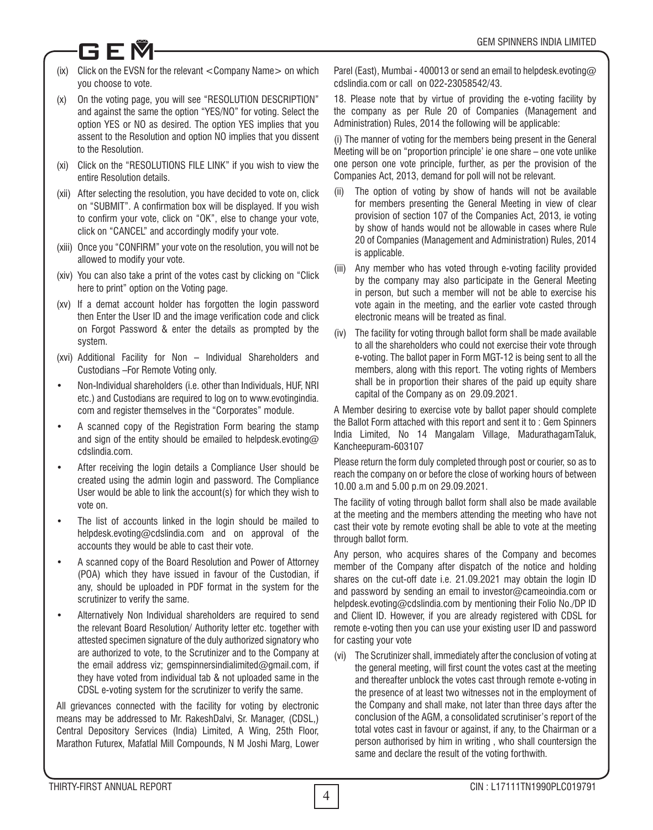# (ix) Click on the EVSN for the relevant <Company Name> on which you choose to vote.

GEM

- (x) On the voting page, you will see "RESOLUTION DESCRIPTION" and against the same the option "YES/NO" for voting. Select the option YES or NO as desired. The option YES implies that you assent to the Resolution and option NO implies that you dissent to the Resolution.
- (xi) Click on the "RESOLUTIONS FILE LINK" if you wish to view the entire Resolution details.
- (xii) After selecting the resolution, you have decided to vote on, click on "SUBMIT". A confirmation box will be displayed. If you wish to confirm your vote, click on "OK", else to change your vote, click on "CANCEL" and accordingly modify your vote.
- (xiii) Once you "CONFIRM" your vote on the resolution, you will not be allowed to modify your vote.
- (xiv) You can also take a print of the votes cast by clicking on "Click here to print" option on the Voting page.
- (xv) If a demat account holder has forgotten the login password then Enter the User ID and the image verification code and click on Forgot Password & enter the details as prompted by the system.
- (xvi) Additional Facility for Non Individual Shareholders and Custodians –For Remote Voting only.
- Non-Individual shareholders (i.e. other than Individuals, HUF, NRI etc.) and Custodians are required to log on to www.evotingindia. com and register themselves in the "Corporates" module.
- A scanned copy of the Registration Form bearing the stamp and sign of the entity should be emailed to helpdesk.evoting@ cdslindia.com.
- After receiving the login details a Compliance User should be created using the admin login and password. The Compliance User would be able to link the account(s) for which they wish to vote on.
- The list of accounts linked in the login should be mailed to helpdesk.evoting@cdslindia.com and on approval of the accounts they would be able to cast their vote.
- A scanned copy of the Board Resolution and Power of Attorney (POA) which they have issued in favour of the Custodian, if any, should be uploaded in PDF format in the system for the scrutinizer to verify the same.
- Alternatively Non Individual shareholders are required to send the relevant Board Resolution/ Authority letter etc. together with attested specimen signature of the duly authorized signatory who are authorized to vote, to the Scrutinizer and to the Company at the email address viz; gemspinnersindialimited@gmail.com, if they have voted from individual tab & not uploaded same in the CDSL e-voting system for the scrutinizer to verify the same.

All grievances connected with the facility for voting by electronic means may be addressed to Mr. RakeshDalvi, Sr. Manager, (CDSL,) Central Depository Services (India) Limited, A Wing, 25th Floor, Marathon Futurex, Mafatlal Mill Compounds, N M Joshi Marg, Lower Parel (East), Mumbai - 400013 or send an email to helpdesk.evoting@ cdslindia.com or call on 022-23058542/43.

18. Please note that by virtue of providing the e-voting facility by the company as per Rule 20 of Companies (Management and Administration) Rules, 2014 the following will be applicable:

(i) The manner of voting for the members being present in the General Meeting will be on "proportion principle' ie one share – one vote unlike one person one vote principle, further, as per the provision of the Companies Act, 2013, demand for poll will not be relevant.

- (ii) The option of voting by show of hands will not be available for members presenting the General Meeting in view of clear provision of section 107 of the Companies Act, 2013, ie voting by show of hands would not be allowable in cases where Rule 20 of Companies (Management and Administration) Rules, 2014 is applicable.
- (iii) Any member who has voted through e-voting facility provided by the company may also participate in the General Meeting in person, but such a member will not be able to exercise his vote again in the meeting, and the earlier vote casted through electronic means will be treated as final.
- (iv) The facility for voting through ballot form shall be made available to all the shareholders who could not exercise their vote through e-voting. The ballot paper in Form MGT-12 is being sent to all the members, along with this report. The voting rights of Members shall be in proportion their shares of the paid up equity share capital of the Company as on 29.09.2021.

A Member desiring to exercise vote by ballot paper should complete the Ballot Form attached with this report and sent it to : Gem Spinners India Limited, No 14 Mangalam Village, MadurathagamTaluk, Kancheepuram-603107

Please return the form duly completed through post or courier, so as to reach the company on or before the close of working hours of between 10.00 a.m and 5.00 p.m on 29.09.2021.

The facility of voting through ballot form shall also be made available at the meeting and the members attending the meeting who have not cast their vote by remote evoting shall be able to vote at the meeting through ballot form.

Any person, who acquires shares of the Company and becomes member of the Company after dispatch of the notice and holding shares on the cut-off date i.e. 21.09.2021 may obtain the login ID and password by sending an email to investor@cameoindia.com or helpdesk.evoting@cdslindia.com by mentioning their Folio No./DP ID and Client ID. However, if you are already registered with CDSL for remote e-voting then you can use your existing user ID and password for casting your vote

(vi) The Scrutinizer shall, immediately after the conclusion of voting at the general meeting, will first count the votes cast at the meeting and thereafter unblock the votes cast through remote e-voting in the presence of at least two witnesses not in the employment of the Company and shall make, not later than three days after the conclusion of the AGM, a consolidated scrutiniser's report of the total votes cast in favour or against, if any, to the Chairman or a person authorised by him in writing , who shall countersign the same and declare the result of the voting forthwith.